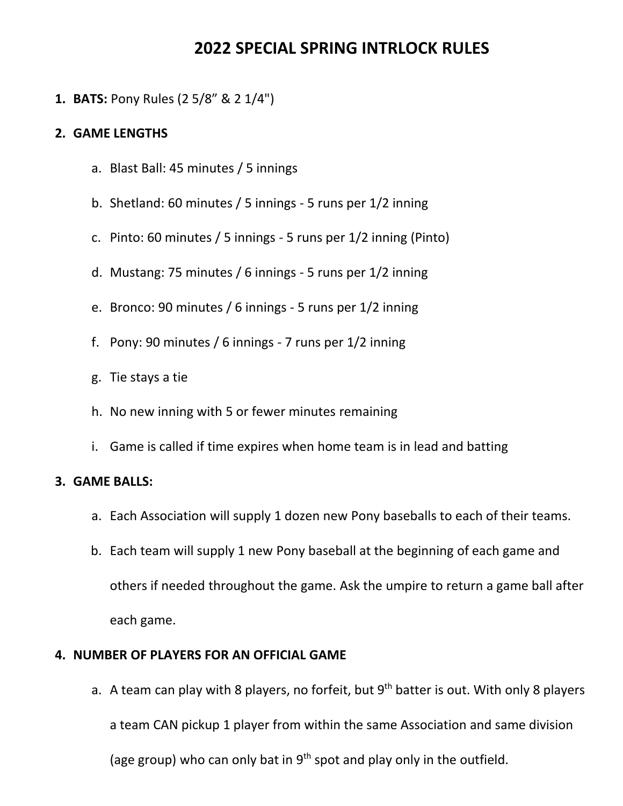# 202**2** SPECIAL **SPRING** INTRLOCK RULES

**1.** BATS: Pony Rules (2 5/8" & 2 1/4")

#### **2.** GAME LENGTHS

- a. Blast Ball: 45 minutes / 5 innings
- b. Shetland: 60 minutes / 5 innings 5 runs per 1/2 inning
- c. Pinto: 60 minutes / 5 innings 5 runs per 1/2 inning (Pinto)
- d. Mustang: 75 minutes / 6 innings 5 runs per 1/2 inning
- e. Bronco: 90 minutes / 6 innings 5 runs per 1/2 inning
- f. Pony: 90 minutes / 6 innings 7 runs per 1/2 inning
- g. Tie stays a tie
- h. No new inning with 5 or fewer minutes remaining
- i. Game is called if time expires when home team is in lead and batting

## **3.** GAME BALLS:

- a. Each Association will supply 1 dozen new Pony baseballs to each of their teams.
- b. Each team will supply 1 new Pony baseball at the beginning of each game and others if needed throughout the game. Ask the umpire to return a game ball after each game.

## **4.** NUMBER OF PLAYERS FOR AN OFFICIAL GAME

a. A team can play with 8 players, no forfeit, but  $9<sup>th</sup>$  batter is out. With only 8 players a team CAN pickup 1 player from within the same Association and same division (age group) who can only bat in  $9<sup>th</sup>$  spot and play only in the outfield.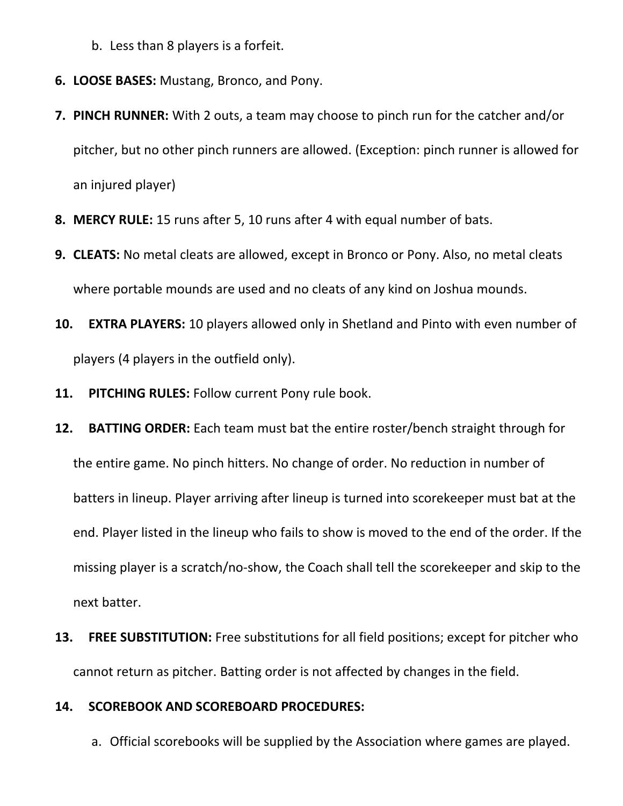- b. Less than 8 players is a forfeit.
- **6.** LOOSE BASES: Mustang, Bronco, and Pony.
- **7.** PINCH RUNNER: With 2 outs, a team may choose to pinch run for the catcher and/or pitcher, but no other pinch runners are allowed. (Exception: pinch runner is allowed for an injured player)
- **8.** MERCY RULE: 15 runs after 5, 10 runs after 4 with equal number of bats.
- **9.** CLEATS: No metal cleats are allowed, except in Bronco or Pony. Also, no metal cleats where portable mounds are used and no cleats of any kind on Joshua mounds.
- **10.** EXTRA PLAYERS: 10 players allowed only in Shetland and Pinto with even number of players (4 players in the outfield only).
- **11.** PITCHING RULES: Follow current Pony rule book.
- **12.** BATTING ORDER: Each team must bat the entire roster/bench straight through for the entire game. No pinch hitters. No change of order. No reduction in number of batters in lineup. Player arriving after lineup is turned into scorekeeper must bat at the end. Player listed in the lineup who fails to show is moved to the end of the order. If the missing player is a scratch/no-show, the Coach shall tell the scorekeeper and skip to the next batter.
- **13.** FREE SUBSTITUTION: Free substitutions for all field positions; except for pitcher who cannot return as pitcher. Batting order is not affected by changes in the field.

#### **14.** SCOREBOOK AND SCOREBOARD PROCEDURES:

a. Official scorebooks will be supplied by the Association where games are played.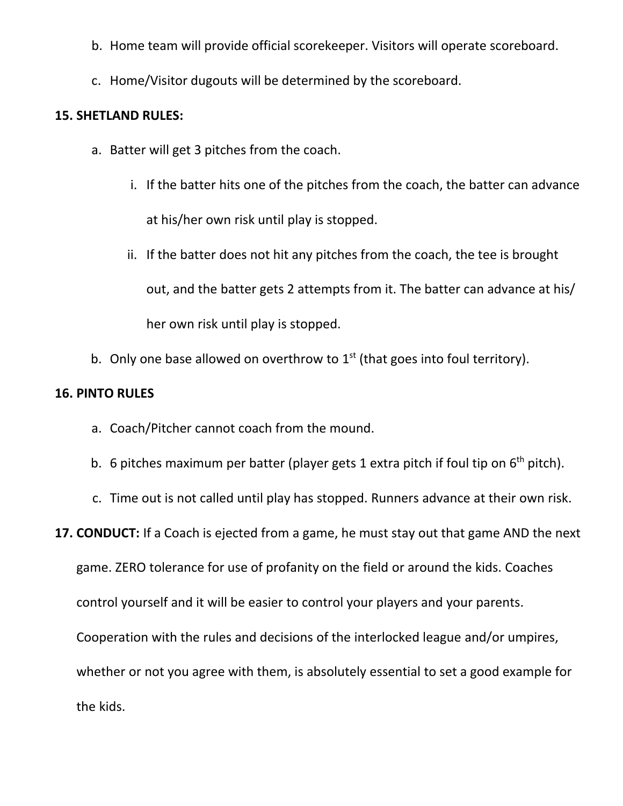- b. Home team will provide official scorekeeper. Visitors will operate scoreboard.
- c. Home/Visitor dugouts will be determined by the scoreboard.

## **15.** SHETLAND RULES:

- a. Batter will get 3 pitches from the coach.
	- i. If the batter hits one of the pitches from the coach, the batter can advance at his/her own risk until play is stopped.
	- ii. If the batter does not hit any pitches from the coach, the tee is brought out, and the batter gets 2 attempts from it. The batter can advance at his/ her own risk until play is stopped.
- b. Only one base allowed on overthrow to  $1<sup>st</sup>$  (that goes into foul territory).

## **16.** PINTO RULES

- a. Coach/Pitcher cannot coach from the mound.
- b. 6 pitches maximum per batter (player gets 1 extra pitch if foul tip on  $6<sup>th</sup>$  pitch).
- c. Time out is not called until play has stopped. Runners advance at their own risk.

## **17.** CONDUCT: If a Coach is ejected from a game, he must stay out that game AND the next

game. ZERO tolerance for use of profanity on the field or around the kids. Coaches

control yourself and it will be easier to control your players and your parents.

Cooperation with the rules and decisions of the interlocked league and/or umpires,

whether or not you agree with them, is absolutely essential to set a good example for the kids.